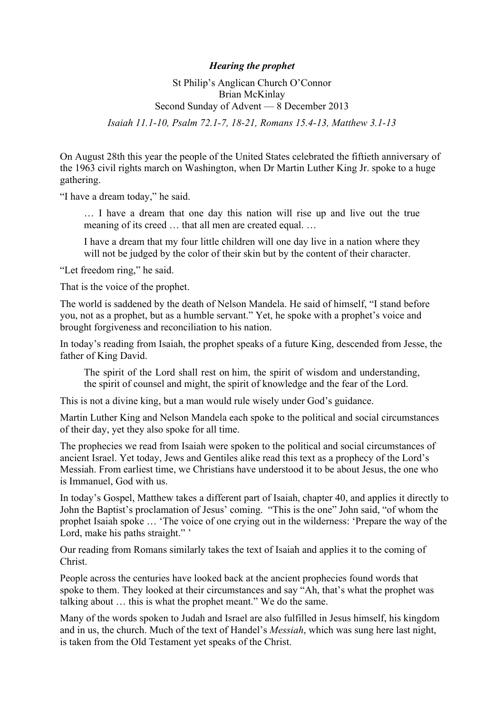## *Hearing the prophet*

## St Philip's Anglican Church O'Connor Brian McKinlay Second Sunday of Advent — 8 December 2013 *Isaiah 11.1-10, Psalm 72.1-7, 18-21, Romans 15.4-13, Matthew 3.1-13*

On August 28th this year the people of the United States celebrated the fiftieth anniversary of the 1963 civil rights march on Washington, when Dr Martin Luther King Jr. spoke to a huge gathering.

"I have a dream today," he said.

… I have a dream that one day this nation will rise up and live out the true meaning of its creed … that all men are created equal. …

I have a dream that my four little children will one day live in a nation where they will not be judged by the color of their skin but by the content of their character.

"Let freedom ring," he said.

That is the voice of the prophet.

The world is saddened by the death of Nelson Mandela. He said of himself, "I stand before you, not as a prophet, but as a humble servant." Yet, he spoke with a prophet's voice and brought forgiveness and reconciliation to his nation.

In today's reading from Isaiah, the prophet speaks of a future King, descended from Jesse, the father of King David.

The spirit of the Lord shall rest on him, the spirit of wisdom and understanding, the spirit of counsel and might, the spirit of knowledge and the fear of the Lord.

This is not a divine king, but a man would rule wisely under God's guidance.

Martin Luther King and Nelson Mandela each spoke to the political and social circumstances of their day, yet they also spoke for all time.

The prophecies we read from Isaiah were spoken to the political and social circumstances of ancient Israel. Yet today, Jews and Gentiles alike read this text as a prophecy of the Lord's Messiah. From earliest time, we Christians have understood it to be about Jesus, the one who is Immanuel, God with us.

In today's Gospel, Matthew takes a different part of Isaiah, chapter 40, and applies it directly to John the Baptist's proclamation of Jesus' coming. "This is the one" John said, "of whom the prophet Isaiah spoke … 'The voice of one crying out in the wilderness: 'Prepare the way of the Lord, make his paths straight."

Our reading from Romans similarly takes the text of Isaiah and applies it to the coming of Christ.

People across the centuries have looked back at the ancient prophecies found words that spoke to them. They looked at their circumstances and say "Ah, that's what the prophet was talking about … this is what the prophet meant." We do the same.

Many of the words spoken to Judah and Israel are also fulfilled in Jesus himself, his kingdom and in us, the church. Much of the text of Handel's *Messiah*, which was sung here last night, is taken from the Old Testament yet speaks of the Christ.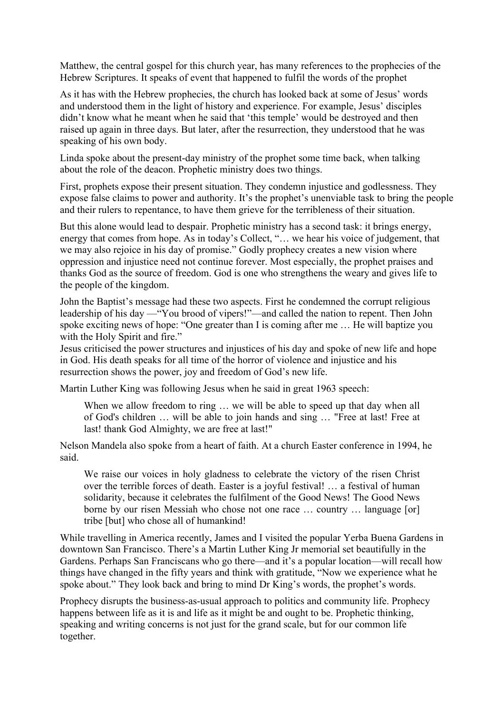Matthew, the central gospel for this church year, has many references to the prophecies of the Hebrew Scriptures. It speaks of event that happened to fulfil the words of the prophet

As it has with the Hebrew prophecies, the church has looked back at some of Jesus' words and understood them in the light of history and experience. For example, Jesus' disciples didn't know what he meant when he said that 'this temple' would be destroyed and then raised up again in three days. But later, after the resurrection, they understood that he was speaking of his own body.

Linda spoke about the present-day ministry of the prophet some time back, when talking about the role of the deacon. Prophetic ministry does two things.

First, prophets expose their present situation. They condemn injustice and godlessness. They expose false claims to power and authority. It's the prophet's unenviable task to bring the people and their rulers to repentance, to have them grieve for the terribleness of their situation.

But this alone would lead to despair. Prophetic ministry has a second task: it brings energy, energy that comes from hope. As in today's Collect, "... we hear his voice of judgement, that we may also rejoice in his day of promise." Godly prophecy creates a new vision where oppression and injustice need not continue forever. Most especially, the prophet praises and thanks God as the source of freedom. God is one who strengthens the weary and gives life to the people of the kingdom.

John the Baptist's message had these two aspects. First he condemned the corrupt religious leadership of his day —"You brood of vipers!"—and called the nation to repent. Then John spoke exciting news of hope: "One greater than I is coming after me … He will baptize you with the Holy Spirit and fire."

Jesus criticised the power structures and injustices of his day and spoke of new life and hope in God. His death speaks for all time of the horror of violence and injustice and his resurrection shows the power, joy and freedom of God's new life.

Martin Luther King was following Jesus when he said in great 1963 speech:

When we allow freedom to ring ... we will be able to speed up that day when all of God's children … will be able to join hands and sing … "Free at last! Free at last! thank God Almighty, we are free at last!"

Nelson Mandela also spoke from a heart of faith. At a church Easter conference in 1994, he said.

We raise our voices in holy gladness to celebrate the victory of the risen Christ over the terrible forces of death. Easter is a joyful festival! … a festival of human solidarity, because it celebrates the fulfilment of the Good News! The Good News borne by our risen Messiah who chose not one race … country … language [or] tribe [but] who chose all of humankind!

While travelling in America recently, James and I visited the popular Yerba Buena Gardens in downtown San Francisco. There's a Martin Luther King Jr memorial set beautifully in the Gardens. Perhaps San Franciscans who go there—and it's a popular location—will recall how things have changed in the fifty years and think with gratitude, "Now we experience what he spoke about." They look back and bring to mind Dr King's words, the prophet's words.

Prophecy disrupts the business-as-usual approach to politics and community life. Prophecy happens between life as it is and life as it might be and ought to be. Prophetic thinking, speaking and writing concerns is not just for the grand scale, but for our common life together.